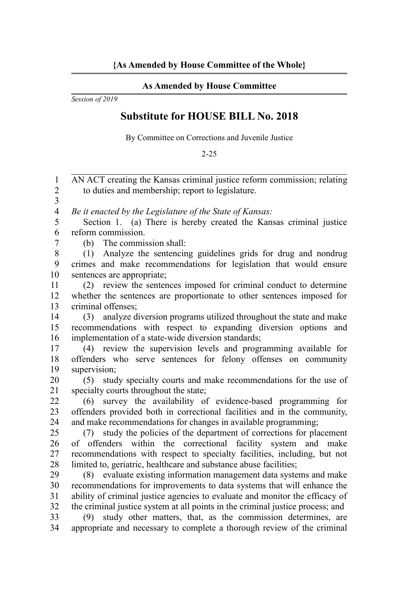## **As Amended by House Committee**

*Session of 2019*

## **Substitute for HOUSE BILL No. 2018**

By Committee on Corrections and Juvenile Justice

2-25

| 1                       | AN ACT creating the Kansas criminal justice reform commission; relating                                                                 |
|-------------------------|-----------------------------------------------------------------------------------------------------------------------------------------|
| $\overline{2}$<br>3     | to duties and membership; report to legislature.                                                                                        |
| $\overline{\mathbf{4}}$ | Be it enacted by the Legislature of the State of Kansas:                                                                                |
| 5                       | Section 1. (a) There is hereby created the Kansas criminal justice                                                                      |
| 6                       | reform commission.                                                                                                                      |
| 7                       | The commission shall:<br>(b)                                                                                                            |
| 8                       | Analyze the sentencing guidelines grids for drug and nondrug<br>(1)                                                                     |
| 9                       | crimes and make recommendations for legislation that would ensure                                                                       |
| 10                      | sentences are appropriate;                                                                                                              |
| 11                      | review the sentences imposed for criminal conduct to determine<br>(2)                                                                   |
| 12                      | whether the sentences are proportionate to other sentences imposed for                                                                  |
| 13                      | criminal offenses;                                                                                                                      |
| 14                      | analyze diversion programs utilized throughout the state and make<br>(3)                                                                |
| 15                      | recommendations with respect to expanding diversion options and                                                                         |
| 16                      | implementation of a state-wide diversion standards;                                                                                     |
| 17                      | (4) review the supervision levels and programming available for                                                                         |
| 18                      | offenders who serve sentences for felony offenses on community                                                                          |
| 19                      | supervision;                                                                                                                            |
| 20                      | study specialty courts and make recommendations for the use of<br>(5)                                                                   |
| 21                      | specialty courts throughout the state;                                                                                                  |
| 22                      | survey the availability of evidence-based programming for<br>(6)                                                                        |
| 23                      | offenders provided both in correctional facilities and in the community,                                                                |
| 24                      | and make recommendations for changes in available programming;                                                                          |
| 25                      | study the policies of the department of corrections for placement<br>(7)                                                                |
| 26                      | of offenders within the correctional facility system and<br>make                                                                        |
| 27                      | recommendations with respect to specialty facilities, including, but not                                                                |
| 28<br>29                | limited to, geriatric, healthcare and substance abuse facilities;<br>(8) evaluate existing information management data systems and make |
| 30                      | recommendations for improvements to data systems that will enhance the                                                                  |
| 31                      | ability of criminal justice agencies to evaluate and monitor the efficacy of                                                            |
| 32                      | the criminal justice system at all points in the criminal justice process; and                                                          |
| 33                      | study other matters, that, as the commission determines, are<br>(9)                                                                     |
| 34                      | appropriate and necessary to complete a thorough review of the criminal                                                                 |
|                         |                                                                                                                                         |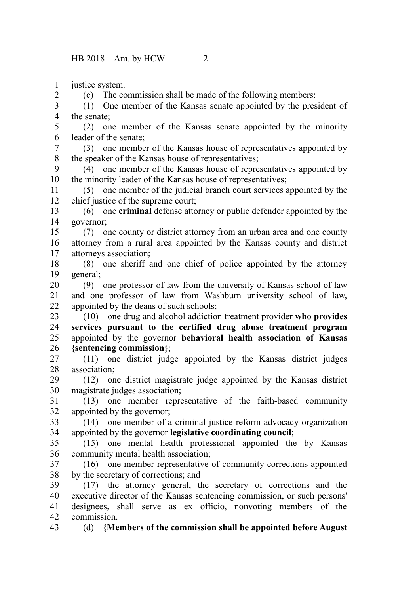justice system. 1

2

(c) The commission shall be made of the following members:

(1) One member of the Kansas senate appointed by the president of the senate; 3 4

(2) one member of the Kansas senate appointed by the minority leader of the senate; 5 6

(3) one member of the Kansas house of representatives appointed by the speaker of the Kansas house of representatives; 7 8

(4) one member of the Kansas house of representatives appointed by the minority leader of the Kansas house of representatives; 9 10

(5) one member of the judicial branch court services appointed by the chief justice of the supreme court; 11 12

(6) one **criminal** defense attorney or public defender appointed by the governor; 13 14

(7) one county or district attorney from an urban area and one county attorney from a rural area appointed by the Kansas county and district attorneys association; 15 16 17

(8) one sheriff and one chief of police appointed by the attorney general; 18 19

(9) one professor of law from the university of Kansas school of law and one professor of law from Washburn university school of law, appointed by the deans of such schools; 20 21 22

(10) one drug and alcohol addiction treatment provider **who provides services pursuant to the certified drug abuse treatment program** appointed by the governor **behavioral health association of Kansas {sentencing commission}**; 23 24 25 26

(11) one district judge appointed by the Kansas district judges association; 27 28

(12) one district magistrate judge appointed by the Kansas district magistrate judges association; 29 30

(13) one member representative of the faith-based community appointed by the governor; 31 32

(14) one member of a criminal justice reform advocacy organization appointed by the governor **legislative coordinating council**; 33 34

(15) one mental health professional appointed the by Kansas community mental health association; 35 36

(16) one member representative of community corrections appointed by the secretary of corrections; and 37 38

(17) the attorney general, the secretary of corrections and the executive director of the Kansas sentencing commission, or such persons' designees, shall serve as ex officio, nonvoting members of the commission. 39 40 41 42

(d) **{Members of the commission shall be appointed before August** 43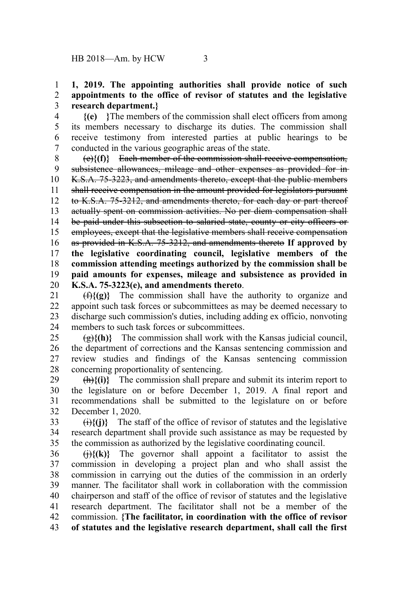## **1, 2019. The appointing authorities shall provide notice of such appointments to the office of revisor of statutes and the legislative research department.}** 1 2 3

**{(e) }**The members of the commission shall elect officers from among its members necessary to discharge its duties. The commission shall receive testimony from interested parties at public hearings to be conducted in the various geographic areas of the state. 4 5 6 7

(e)**{(f)}** Each member of the commission shall receive compensation, subsistence allowances, mileage and other expenses as provided for in-K.S.A. 75-3223, and amendments thereto, except that the public members shall receive compensation in the amount provided for legislators pursuant to K.S.A. 75-3212, and amendments thereto, for each day or part thereof actually spent on commission activities. No per diem compensation shall be paid under this subsection to salaried state, county or city officers or employees, except that the legislative members shall receive compensation as provided in K.S.A. 75-3212, and amendments thereto **If approved by the legislative coordinating council, legislative members of the commission attending meetings authorized by the commission shall be paid amounts for expenses, mileage and subsistence as provided in K.S.A. 75-3223(e), and amendments thereto**. 8 9 10 11 12 13 14 15 16 17 18 19 20

(f)**{(g)}** The commission shall have the authority to organize and appoint such task forces or subcommittees as may be deemed necessary to discharge such commission's duties, including adding ex officio, nonvoting members to such task forces or subcommittees. 21 22 23 24

 $\{\hat{g}\}$ {(h)} The commission shall work with the Kansas judicial council, the department of corrections and the Kansas sentencing commission and review studies and findings of the Kansas sentencing commission concerning proportionality of sentencing.  $25$ 26 27 28

(h)**{(i)}** The commission shall prepare and submit its interim report to the legislature on or before December 1, 2019. A final report and recommendations shall be submitted to the legislature on or before December 1, 2020. 29 30 31 32

 $\langle \hat{H} \rangle$ {(j)} The staff of the office of revisor of statutes and the legislative research department shall provide such assistance as may be requested by the commission as authorized by the legislative coordinating council. 33 34 35

 $\left(\frac{1}{1}\right)\{(k)\}$  The governor shall appoint a facilitator to assist the commission in developing a project plan and who shall assist the commission in carrying out the duties of the commission in an orderly manner. The facilitator shall work in collaboration with the commission chairperson and staff of the office of revisor of statutes and the legislative research department. The facilitator shall not be a member of the commission. **{The facilitator, in coordination with the office of revisor of statutes and the legislative research department, shall call the first** 36 37 38 39 40 41 42 43